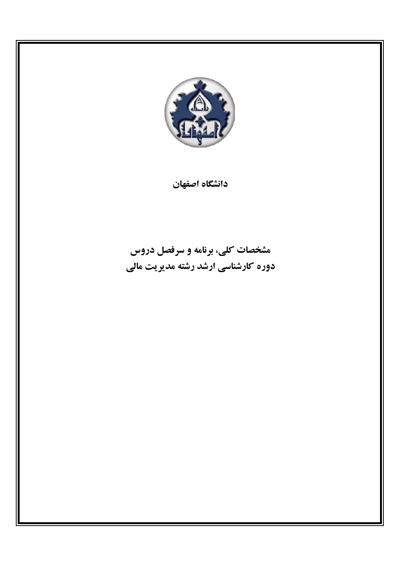

دانشگاه اصفهان

# مشخصات کلی، برنامه و سرفصل دروس دوره کارشناسی ارشد رشته مدیریت مالی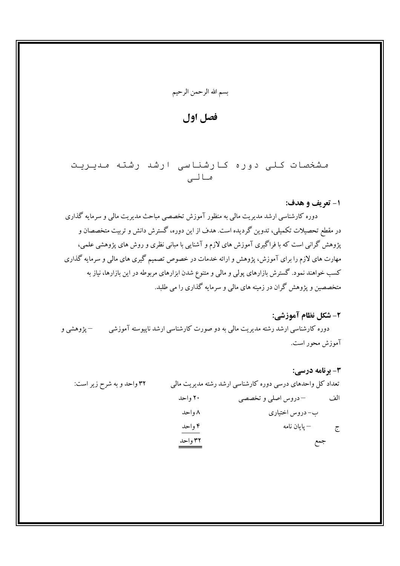## فصل اول

مشخصات کلی دوره کارشناسی ارشد رشته مدیریت مالي

#### ۱- تعريف و هدف:

دوره کارشناسی ارشد مدیریت مالی به منظور آموزش تخصصی مباحث مدیریت مالی و سرمایه گذاری در مقطع تحصیلات تکمیلی، تدوین گردیده است. هدف از این دوره، گسترش دانش و تربیت متخصصان و پژوهش گرانبی است که با فراگیری آموزش های لازم و آشنایی با مبانی نظری و روش های پژوهشی علمی، مهارت های لازم را برای آموزش، پژوهش و ارائه خدمات در خصوص تصمیم گیری های مالی و سرمایه گذاری کسب خواهند نمود. گسترش بازارهای پولی و مالی و متنوع شدن ابزارهای مربوطه در این بازارها، نیاز به متخصصین و پژوهش گران در زمینه های مالی و سرمایه گذاری را می طلبد.

#### 2- شكل نظام آموزشي:

دوره کارشناسی ارشد رشته مدیریت مالی به دو صورت کارشناسی ارشد ناپیوسته آموزشی مسطحت و دهشی و آموزش محور است.

#### 3- برنامه درسے : تعداد کل واحدهای درسی دوره کارشناسی ارشد رشته مدیریت مالی ۳۲ واحد و به شرح زیر است: ۲۰ واحد الف – دروس اصلي و تخصصي ۸ واحد ب- دروس اختیاری ۴ واحد ۳۲ واحد جمع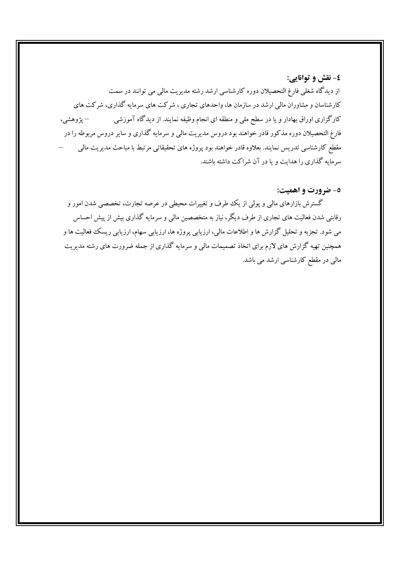#### ٤- نقش و توانايي:

از دیدگاه شغلی فارغ التحصیلان دوره کارشناسی ارشد رشته مدیریت مالی می توانند در سمت کارشناسان و مشاوران مالی ارشد در سازمان ها، واحدهای تجاری ، شرکت های سرمایه گذاری، شرکت های کارگزاری اوراق بهادار و یا در سطح ملی و منطقه ای انجام وظیفه نمایند. از دیدگاه آموزشی – پژوهشي، فارغ التحصیلان دوره مذکور قادر خواهند بود دروس مدیریت مالی و سرمایه گذاری و سایر دروس مربوطه را در مقطع کارشناسی تدریس نمایند. بعلاوه قادر خواهند بود پروژه های تحقیقاتی مرتبط با مباحث مدیریت مالی سرمایه گذاری را هدایت و یا در آن شراکت داشته باشند.

#### ٥- ضرورت و اهميت:

گسترش بازارهای مالی و پولی از یک طرف و تغییرات محیطی در عرصه تجارت، تخصصی شدن امور و رقابتی شدن فعالیت های تجاری از طرف دیگر، نیاز به متخصصین مالی و سرمایه گذاری بیش از پیش احساس می شود. تجزبه و تحلیل گزارش ها و اطلاعات مالی، ارزیابی پروژه ها، ارزیابی سهام، ارزیابی ریسک فعالیت ها و همچنین تهیه گزارش های لازم برای اتخاذ تصمیمات مالی و سرمایه گذاری از جمله ضرورت های رشته مدیریت مالی در مقطع کارشناسی ارشد می باشد.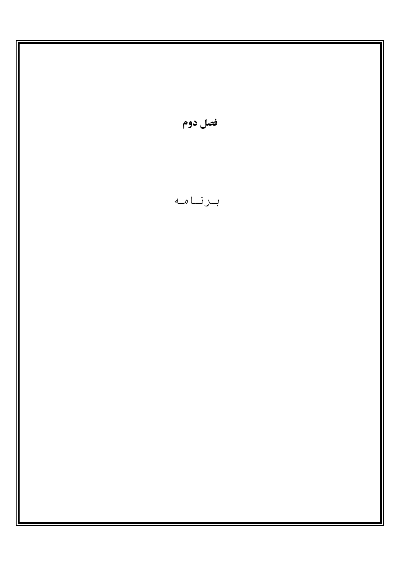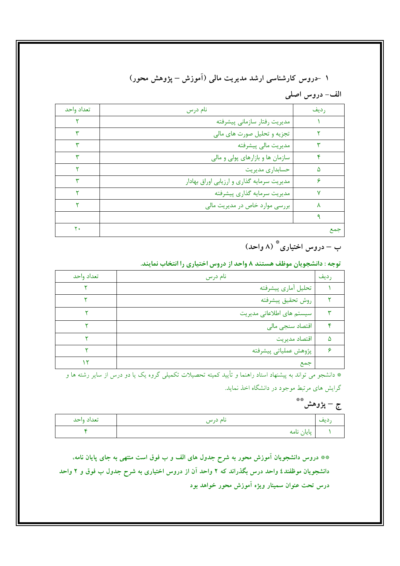# ۱ -دروس کارشناسی ارشد مدیریت مالی (آموزش – پژوهش محور)

الف- دروس اصلي

| تعداد واحد | نام درس                                    | رديف |
|------------|--------------------------------------------|------|
|            | مدیریت رفتار سازمانی پیشرفته               |      |
|            | تجزیه و تحلیل صورت های مالی                |      |
|            | مديريت مالي پيشرفته                        |      |
|            | سازمان ها و بازارهای پولی و مالی           |      |
|            | حسابداری مدیریت                            | ۵    |
|            | مدیریت سرمایه گذاری و ارزیابی اوراق بهادار |      |
|            | مديريت سرمايه گذارى پيشرفته                | v    |
|            | بررسی موارد خاص در مدیریت مالی             |      |
|            |                                            |      |
| ۲۰         |                                            | جمع  |

ب – دروس اختیاری ؓ (۸ واحد)

توجه : دانشجویان موظف هستند ۸ واحد از دروس اختیاری را انتخاب نمایند.

| تعداد واحد | نام درس                   | رديف |
|------------|---------------------------|------|
|            | تحليل آماري پيشرفته       |      |
|            | روش تحقيق پيشرفته         |      |
|            | سیستم های اطلاعاتی مدیریت |      |
|            | اقتصاد سنجى مالى          |      |
|            | اقتصاد مديريت             | ۵    |
|            | پژوهش عملياتي پيشرفته     |      |
|            | جمع                       |      |

\* دانشجو می تواند به پیشنهاد استاد راهنما و تأیید کمیته تحصیلات تکمیل<sub>ی</sub> گروه یک یا دو درس از سایر رشته ها و گرایش های مرتبط موجود در دانشگاه اخذ نماید.

# ج – پژوهش\*\*

| تعداد واحد | ىام درس    | د يف<br>. |
|------------|------------|-----------|
|            | پایان نامه |           |

\*\* دروس دانشجویان آموزش محور به شرح جدول های الف و ب فوق است منتهی به جای پایان نامه، دانشجویان موظفند٤ واحد درس بگذراند که ۲ واحد آن از دروس اختیاری به شرح جدول ب فوق و ۲ واحد درس تحت عنوان سمینار ویژه آموزش محور خواهد بود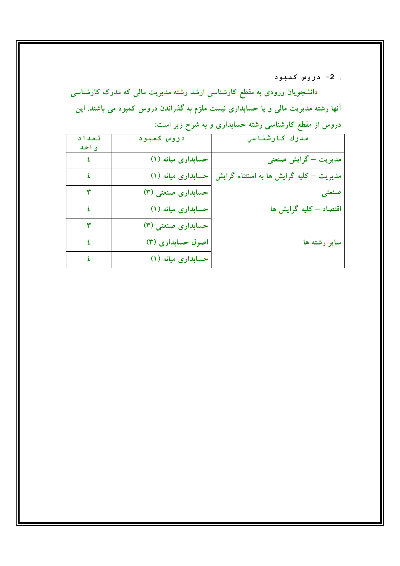. 2- دروس کمبود

دانشجویان ورودی به مقطع کارشناسی ارشد رشته مدیریت مالی که مدرک کارشناسی آنها رشته مدیریت مالی و یا حسابداری نیست ملزم به گذراندن دروس کمبود می باشند. این دروس از مقطع کارشناسی رشته حسابداری و به شرح زیر است:

| تعداد<br>واحد | دروس كمبود         | مدرك كارشناسي                           |
|---------------|--------------------|-----------------------------------------|
| ٤             | حسابداری میانه (۱) | مدیریت – گرایش صنعتی                    |
| ٤             | حسابداری میانه (۱) | مدیریت – کلیه گرایش ها به استثناء گرایش |
| ٣             | حسابداری صنعتی (۳) | صنعتى                                   |
| ٤             | حسابداری میانه (۱) | اقتصاد – کلیه گرایش ها                  |
| ٣             | حسابداری صنعتی (۳) |                                         |
| ٤             | اصول حسابداری (۳)  | سایر رشته ها                            |
| ٤             | حسابداری میانه (۱) |                                         |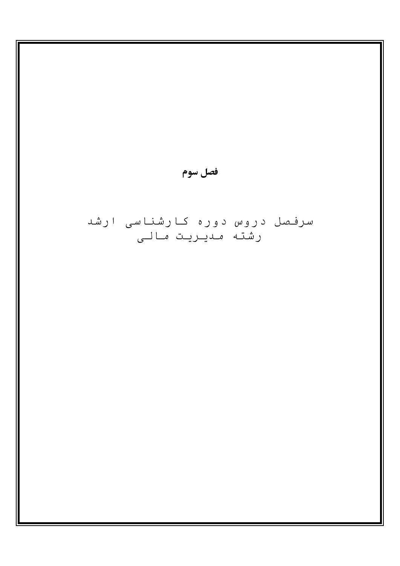Щ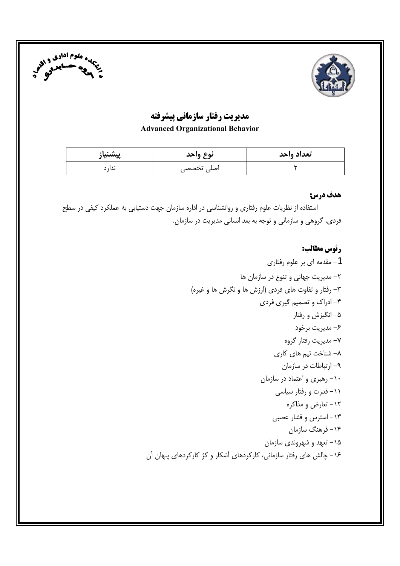



# مدیریت رفتار سازمانی پیشرفته

#### **Advanced Organizational Behavior**

| پيشنياز | نوع وأحد   | تعداد واحد |
|---------|------------|------------|
| ىدا، د  | اصلی تخصصی |            |

#### هدف درس:

استفاده از نظریات علوم رفتاری و روانشناسی در اداره سازمان جهت دستیابی به عملکرد کیفی در سطح فردی، گروهی و سازمانی و توجه به بعد انسانی مدیریت در سازمان.

# رئوس مطالب: 1- مقدمه ای بر علوم رفتاری ٢- مديريت جهاني و تنوع در سازمان ها ٣- رفتار و تفاوت های فردی (ارزش ها و نگرش ها و غیره) ۴- ادراک و تصمیم گیری فردی ۵– انگیزش و رفتار ۶– مدیریت برخود ۷– مدیریت رفتار گروه ۸– شناخت تیم های کاری ۹– ارتباطات در سازمان ۱۰– رهبری و اعتماد در سازمان ۱۱– قدرت و رفتار سیاس*ی* ۱۲– تعارض و مذاکره ۱۳- استرس و فشار عصبی ۱۴– فرهنگ سازمان ۰۱۵ تعهد و شهروندی سازمان ۱۶– چالش های رفتار سازمانی، کارکردهای آشکار و کژ کارکردهای پنهان آن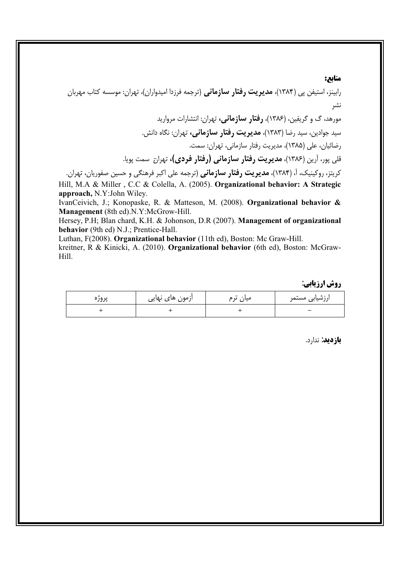#### **منایع:**

رابینز، استیفن پی (۱۳۸۴)، **مدیریت رفتار سازمانی** (ترجمه فرزدا امیدواران)، تهران: موسسه کتاب مهربان نشر مورهد، گ و گریفین، (۱۳۸۶)، **رفتار سازمانی،** تهران: انتشارات مروارید سید جوادین، سید رضا (۱۳۸۳)، **مدیریت رفتار سازمانی،** تهران: نگاه دانش. رضائیان، علی (۱۳۸۵)، مدیریت رفتار سازمانی، تهران: سمت. قلی پور، آرین (۱۳۸۶)، **مدیریت رفتار سازمانی (رفتار فردی)،** تهران سم*ت* پویا. کریتز، روکینیک، آ، (۱۳۸۴)، **مدیریت رفتار سازمانی** (ترجمه علی اکبر فرهنگی و حسین صفوریان، تهران. Hill, M.A & Miller , C.C & Colella, A. (2005). **Organizational behavior: A Strategic approach,** N.Y:John Wiley.

IvanCeivich, J.; Konopaske, R. & Matteson, M. (2008). **Organizational behavior & Management** (8th ed).N.Y:McGrow-Hill.

Hersey, P.H; Blan chard, K.H. & Johonson, D.R (2007). **Management of organizational behavior** (9th ed) N.J.; Prentice-Hall.

Luthan, F(2008). **Organizational behavior** (11th ed), Boston: Mc Graw-Hill.

kreitner, R & Kinicki, A. (2010). **Organizational behavior** (6th ed), Boston: McGraw-Hill.

**روش ارزیابی**:

| پروره | ازمون های نهایی | $\bullet\bullet$<br>میان<br>ں م | ارزشیاب <i>ی</i> مستمر   |
|-------|-----------------|---------------------------------|--------------------------|
|       |                 |                                 | $\overline{\phantom{0}}$ |

ب**ازدید**: ندارد.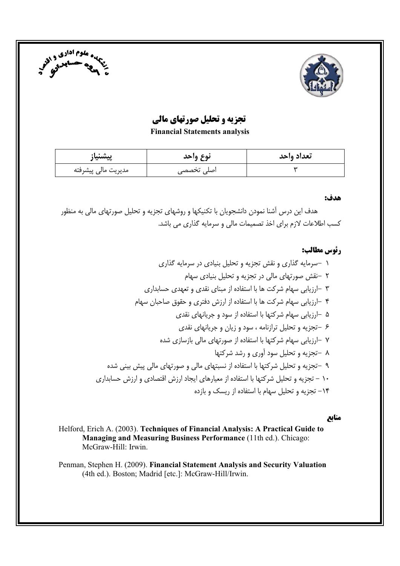



# **تجزیه و تحلیل صورتهای مالی**

**Financial Statements analysis** 

| پيشنياز             | نوع واحد   | تعداد واحد |
|---------------------|------------|------------|
| مديريت مالي پيشرفته | اصلی تخصصی |            |

#### هدف:

هدف این درس آشنا نمودن دانشجویان با تکنیکها و روشهای تجزیه و تحلیل صورتهای مالی به منظور کسب اطلاعات لازم برای اخذ تصمیمات مالی و سرمایه گذاری می باشد.

## رئوس مطالب:

#### منابع

Helford, Erich A. (2003). Techniques of Financial Analysis: A Practical Guide to Managing and Measuring Business Performance (11th ed.). Chicago: McGraw-Hill: Irwin.

Penman, Stephen H. (2009). Financial Statement Analysis and Security Valuation (4th ed.). Boston; Madrid [etc.]: McGraw-Hill/Irwin.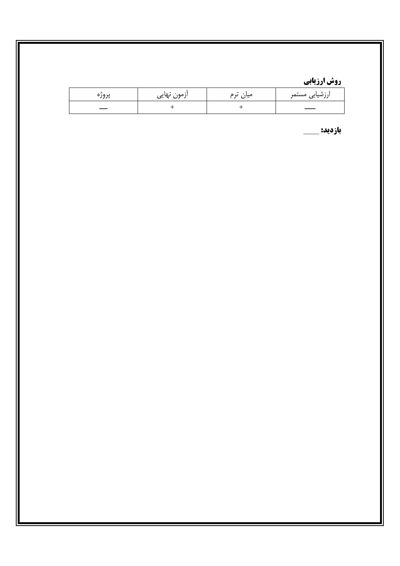# <mark>روش ارزیابی</mark>

| پرور | ازمون نهایی | $\bullet\bullet$<br>ں ء<br>میاں | ارزشیابی مستمر |
|------|-------------|---------------------------------|----------------|
|      |             |                                 |                |

بازديد: \_\_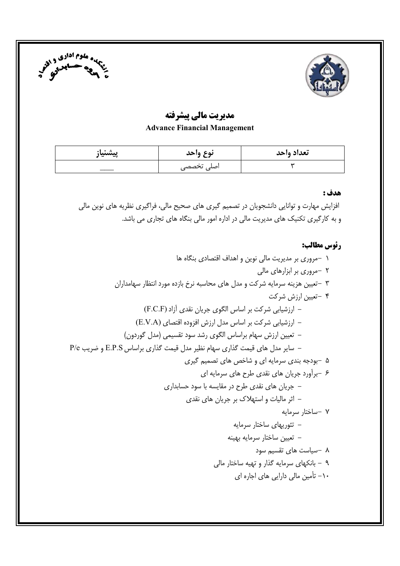



## مديريت مالي پيشرفته **Advance Financial Management**

| پيشنياز | نوع واحد   | تعداد واحد |
|---------|------------|------------|
|         | اصلی تخصصی |            |

#### هدف :

افزایش مهارت و توانایی دانشجویان در تصمیم گیری های صحیح مالی، فراگیری نظریه های نوین مالی و به کارگیری تکنیک های مدیریت مالی در اداره امور مالی بنگاه های تجاری می باشد.

#### رئوس مطالب:

۱ –مروری بر مدیریت مالی نوین و اهداف اقتصادی بنگاه ها ۲ -مروری بر ابزارهای مالی ۳ –تعیین هزینه سرمایه شرکت و مدل های محاسبه نرخ بازده مورد انتظار سهامداران ۴ –تعیین ارزش شرکت - ارزشیابی شرکت بر اساس الگوی جریان نقدی آزاد (F.C.F) – ارزشیابی شرکت بر اساس مدل ارزش افزوده اقتصای (E.V.A) – تعیین ارزش سهام براساس الگوی رشد سود تقسیمی (مدل گوردون) – سایر مدل های قیمت گذاری سهام نظیر مدل قیمت گذاری براساس E.P.S و ضریب P/e ۵ –بودجه بندی سرمایه ای و شاخص های تصمیم گیری ۶ -برآورد جریان های نقدی طرح های سرمایه ای – جریان های نقدی طرح در مقایسه با سود حسابداری – اثر مالیات و استهلاک بر جریان های نقدی ۷ –ساختار سرمایه – تئوریهای ساختار سرمایه – تعیین ساختار سرمایه بهینه  $\lambda$  –سیاست های تقسیم سود ۹ - بانکهای سرمایه گذار و تهیه ساختار مالی ۱۰– تأمین مالی دارایی های اجاره ای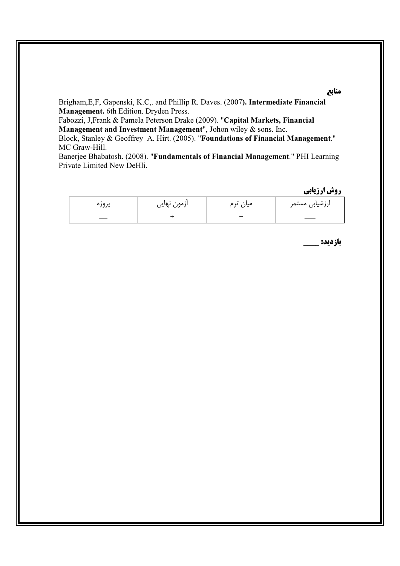Brigham, E, F, Gapenski, K.C,. and Phillip R. Daves. (2007). Intermediate Financial Management. 6th Edition. Dryden Press.

Fabozzi, J,Frank & Pamela Peterson Drake (2009). "Capital Markets, Financial Management and Investment Management", Johon wiley & sons. Inc.

Block, Stanley & Geoffrey A. Hirt. (2005). "Foundations of Financial Management." MC Graw-Hill.

Banerjee Bhabatosh. (2008). "Fundamentals of Financial Management." PHI Learning Private Limited New DeHli.

روش ارزيابي

| پرور | ازمون نهایی | $\bullet\bullet$<br>میان<br>ں م | ارزشیاب <i>ی</i> مستمر |
|------|-------------|---------------------------------|------------------------|
|      |             |                                 |                        |

بازديد: \_

#### منابع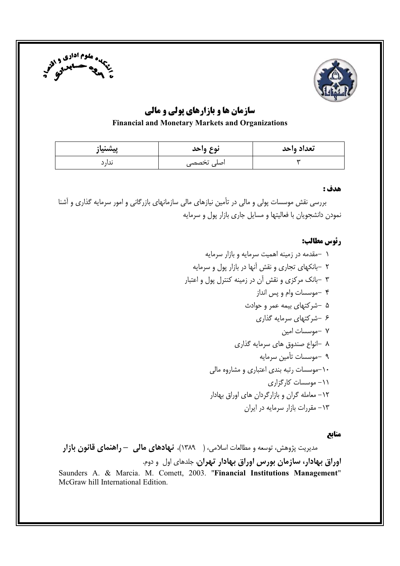



# سازمان ها و بازارهای پولی و مالی

#### **Financial and Monetary Markets and Organizations**

| پيشنياز | نوع واحد   | تعداد واحد |
|---------|------------|------------|
| ىدار د  | اصلی تخصصی |            |

#### هدف :

بررسی نقش موسسات پولی و مالی در تأمین نیازهای مالی سازمانهای بازرگانی و امور سرمایه گذاری و آشنا نمودن دانشجویان با فعالیتها و مسایل جاری بازار پول و سرمایه

### رئوس مطالب:

#### منابع

مدیریت پژوهش، توسعه و مطالعات اسلامی، ( ۱۳۸۹)، **نهادهای مالی — راهنمای قانون بازار** اوراق بهادار، سازمان بورس اوراق بهادار تهران، جلدهای اول و دوم. Saunders A. & Marcia. M. Comett, 2003. "Financial Institutions Management" McGraw hill International Edition.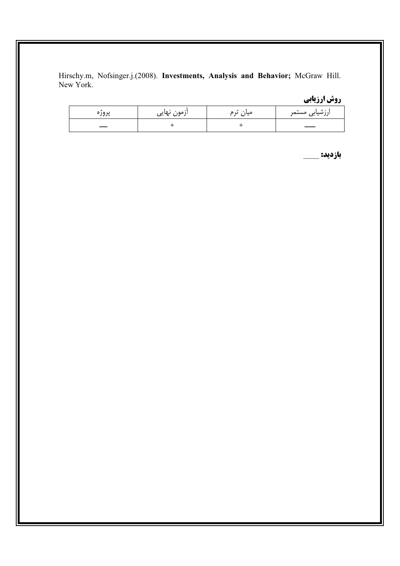Hirschy.m, Nofsinger.j.(2008). Investments, Analysis and Behavior; McGraw Hill. New York.

روش ارزیابی

| پروره | ازمون نهایی | $\bullet\bullet$<br>میان ىرم | ارزشیاب <i>ی</i> مستمر |
|-------|-------------|------------------------------|------------------------|
|       |             |                              |                        |

بازديد: \_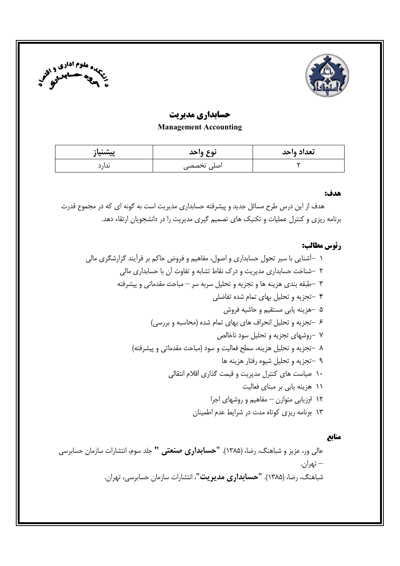



### حسابداري مديريت **Management Accounting**

| پيشنياز | نوع واحد   | تعداد واحد |
|---------|------------|------------|
| ىدار د  | اصلی تخصصی |            |

#### هدف:

هدف از این درس طرح مسائل جدید و پیشرفته حسابداری مدیریت است به گونه ای که در مجموع قدرت برنامه ریزی و کنترل عملیات و تکنیک های تصمیم گیری مدیریت را در دانشجویان ارتقاء دهد.

#### رئوس مطالب:

### منابع

عالی ور، عزیز و شباهنگ، رضا، (۱۳۸۵). **"حسابداری صنعتی "** جلد سوم، انتشارات سازمان حسابرسی – تهران. شباهنگ، رضا، (۱۳۸۵). **"حسابداری مدیریت"**، انتشارات سازمان حسابرسی، تهران.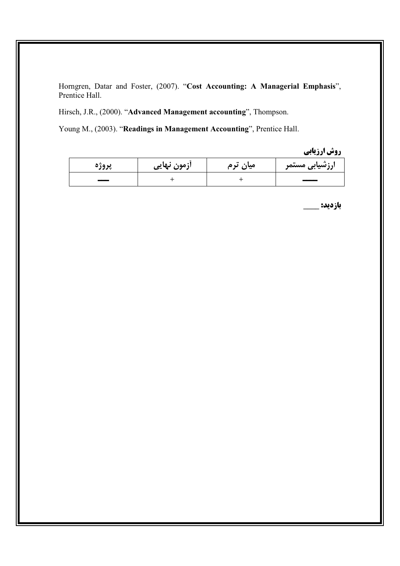Horngren, Datar and Foster, (2007). "Cost Accounting: A Managerial Emphasis", Prentice Hall.

Hirsch, J.R., (2000). "Advanced Management accounting", Thompson.

Young M., (2003). "Readings in Management Accounting", Prentice Hall.

روش ارزيابي

| پروژه | ازمون نهایی | میان ترم | ارزشیابی مستمر |
|-------|-------------|----------|----------------|
|       |             |          |                |

**بازديد: \_\_\_\_**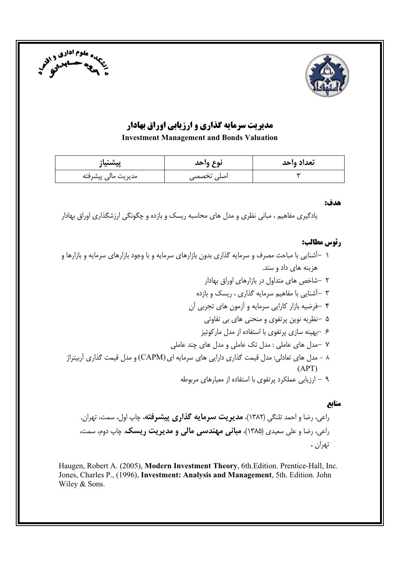



# مدیریت سرمایه گذاری و ارزیابی اوراق بهادار

**Investment Management and Bonds Valuation** 

| پيشنياز             | نوع واحد   | تعداد واحد |
|---------------------|------------|------------|
| مديريت مالي پيشرفته | اصلی تخصصی |            |

#### هدف:

یادگیری مفاهیم ، مبانی نظری و مدل های محاسبه ریسک و بازده و چگونگی ارزشگذاری اوراق بهادار

### رئوس مطالب:

- ۱ –آشنایی با مباحث مصرف و سرمایه گذاری بدون بازارهای سرمایه و با وجود بازارهای سرمایه و بازارها و هزینه های داد و ستد.
	- ۲ –شاخص های متداول در بازارهای اوراق بهادار
	- ۳ –آشنایی با مفاهیم سرمایه گذاری ، ریسک و بازده
	- ۴ -فرضيه بازار كارايي سرمايه و آزمون هاي تجربي آن
	- ۵ –نظریه نوین پرتفوی و منحنی های بی تفاوتی
		- ۶ –بهینه سازی پرتفوی با استفاده از مدل مارکوتیز
	- ۷ -مدل های عاملی : مدل تک عاملی و مدل های چند عاملی
	- ۸ مدل های تعادلی: مدل قیمت گذاری دارایی های سرمایه ای (CAPM) و مدل قیمت گذاری آربیتراژ  $(APT)$ 
		- ۹ ارزبانی عملکرد برتفوی با استفاده از معبارهای مربوطه

#### منابع

راعي، رضا و احمد تلنگي (١٣٨٢)، **مديريت سرمايه گذاري پيشرفته**، چاپ اول، سم*ت*، تهران. راعي، رضا و علي سعيدي (١٣٨۵)، **مباني مهندسي مالي و مديريت ريسک**، چاپ دوم، سم*ت*، تهران .

Haugen, Robert A. (2005), Modern Investment Theory, 6th. Edition. Prentice-Hall, Inc. Jones, Charles P., (1996), Investment: Analysis and Management, 5th. Edition. John Wiley & Sons.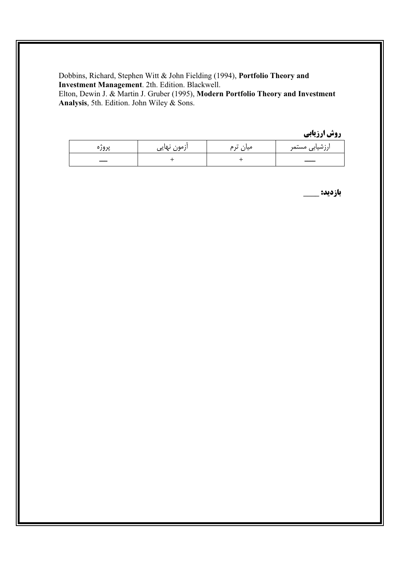Dobbins, Richard, Stephen Witt & John Fielding (1994), Portfolio Theory and Investment Management. 2th. Edition. Blackwell.

Elton, Dewin J. & Martin J. Gruber (1995), Modern Portfolio Theory and Investment Analysis, 5th. Edition. John Wiley & Sons.

روش ارزيابي

| ノフバ | ازمون نهایی | $\bullet\bullet$<br>ں م<br>میان | ارزشیابی مستمر |
|-----|-------------|---------------------------------|----------------|
|     |             |                                 |                |

بازديد: \_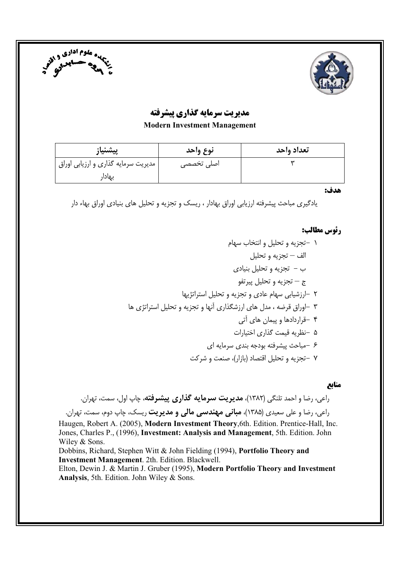



# مدیریت سرمایه گذاری پیشرفته

**Modern Investment Management** 

| پيشنياز                             | نوع واحد   | تعداد واحد |
|-------------------------------------|------------|------------|
| مدیریت سرمایه گذاری و ارزیابی اوراق | اصلی تخصصی |            |
| بهادار                              |            |            |

هدف:

یادگیری مباحث پیشرفته ارزیابی اوراق بهادار ، ریسک و تجزیه و تحلیل های بنیادی اوراق بهاء دار

### رئوس مطالب:

١ -تجزيه و تحليل و انتخاب سهام الف – تجزيه و تحليل  $\psi - \psi = \psi$ ب و تحليل بنيادي ج — تجزيه و تحليل پيرتفو $-$ ٢ -ارزشيابي سهام عادي و تجزيه و تحليل استراتژيها ۳ -اوراق قرضه ، مدل های ارزشگذاری آنها و تجزیه و تحلیل استراتژی ها ۴ -قراردادها و پیمان های آتی ۵ –نظریه قیمت گذاری اختیارات ۶ -مباحث پیشرفته بودجه بندی سرمایه ای ۷ –تجزیه و تحلیل اقتصاد (بازار)، صنعت و شرکت

#### منابع

راعي، رضا و احمد تلنگي (١٣٨٢)، **مديريت سرمايه گذاري پيشرفته**، چاپ اول، سمت، تهران. راعي، رضا و علي سعيدي (١٣٨۵)، **مباني مهندسي مالي و مديريت** ريسک، چاپ دوم، سم*ت*، تهران. Haugen, Robert A. (2005), Modern Investment Theory, 6th. Edition. Prentice-Hall, Inc. Jones, Charles P., (1996), Investment: Analysis and Management, 5th. Edition. John Wiley & Sons. Dobbins, Richard, Stephen Witt & John Fielding (1994), Portfolio Theory and **Investment Management.** 2th. Edition. Blackwell. Elton, Dewin J. & Martin J. Gruber (1995), Modern Portfolio Theory and Investment Analysis, 5th. Edition. John Wiley & Sons.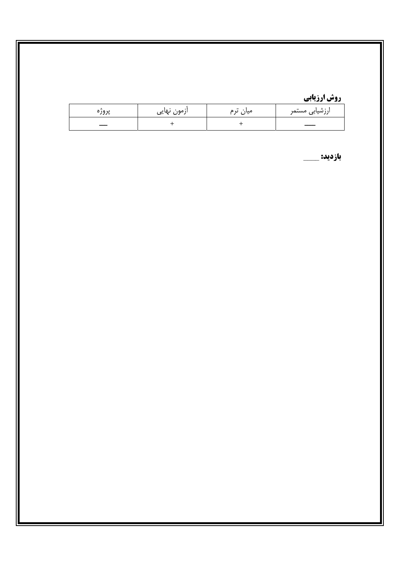# روش ارزیابی

| پروره | ازمون نهایی | $\bullet\bullet$<br>ن م<br>میان | ارزشیابی مستمر |
|-------|-------------|---------------------------------|----------------|
|       |             |                                 |                |

بازديد: \_\_\_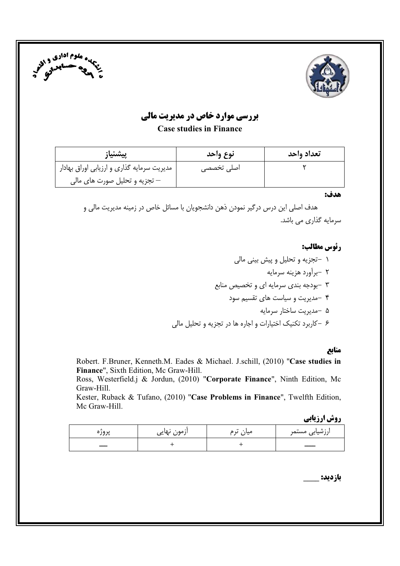



# **بررسی موارد خاص در مدیریت مالی**

**Case studies in Finance** 

| پيشنياز                                    | نوع واحد   | تعداد واحد |
|--------------------------------------------|------------|------------|
| مدیریت سرمایه گذاری و ارزیابی اوراق بهادار | اصلی تخصصی |            |
| – تجزیه و تحلیل صورت های مالی              |            |            |

هدف:

هدف اصلی این درس درگیر نمودن ذهن دانشجویان با مسائل خاص در زمینه مدیریت مالی و سرمایه گذاری می باشد.

## رئوس مطالب:

۱ –تجزیه و تحلیل و پیش بینی مالی ۲ -برآورد هزینه سرمایه ۳ -بودجه بندی سرمایه ای و تخصیص منابع ۴ -مدیریت و سیاست های تقسیم سود ۵ –مدیریت ساختار سرمایه ۶ –کاربرد تکنیک اختیارات و اجاره ها در تجزیه و تحلیل مالی

#### منابع

Robert. F.Bruner, Kenneth.M. Eades & Michael. J.schill, (2010) "Case studies in Finance", Sixth Edition, Mc Graw-Hill.

Ross, Westerfield.j & Jordun, (2010) "Corporate Finance", Ninth Edition, Mc Graw-Hill.

Kester, Ruback & Tufano, (2010) "Case Problems in Finance", Twelfth Edition, Mc Graw-Hill.

**روش ارزیابی** 

| پرور | ازمون نهایی | $^{\tiny{\text{+}}}$<br>میاں | ارزشیابی مستمر |
|------|-------------|------------------------------|----------------|
|      |             |                              |                |

بازديد: \_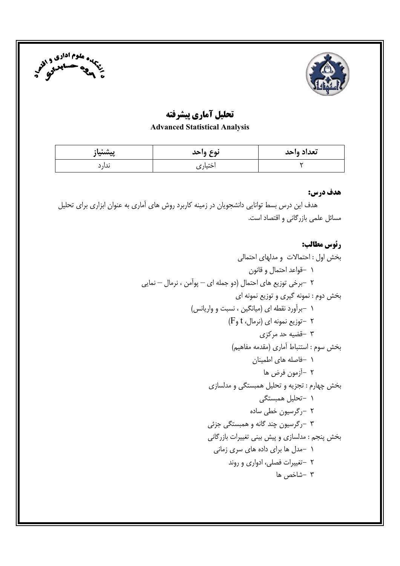



# تحلیل آماری پیشرفته

### **Advanced Statistical Analysis**

| پيشنياز | نوع واحد | تعداد واحد |
|---------|----------|------------|
| ىدار د  | اختیاری  |            |

### هدف درس:

هدف این درس بسط توانایی دانشجویان در زمینه کاربرد روش های آماری به عنوان ابزاری برای تحلیل مسائل علمی بازرگانی و اقتصاد است.

# رئوس مطالب: بخش اول: احتمالات و مدلهای احتمالی ١ -قواعد احتمال و قانون ۲ –برخی توزیع های احتمال (دو جمله ای – پوآمن ، نرمال – نمایی بخش دوم : نمونه گیری و توزیع نمونه ای ١ -برآورد نقطه اي (ميانگين ، نسبت و واريانس)  $(F_9 t_6)$ ا -توزیع نمونه ای (نرمال، t و ۳ -قضیه حد مرکزی بخش سوم : استنباط آماري (مقدمه مفاهيم) ۱ -فاصله های اطمینان ۲ –آزمون فرض ها بخش چهارم : تجزیه و تحلیل همبستگی و مدلسازی ۱ -تحلیل همبستگی ۲ –رگرسیون خطی ساده ۳ -رگرسيون چند گانه و همبستگ*ي* جزئ*ي* بخش پنجم : مدلسازی و پیش بینی تغییرات بازرگانی ۱ –مدل ها برای داده های سری زمانی ۲ -تغییرات فصلی، ادواری و روند ۳ -شاخص ها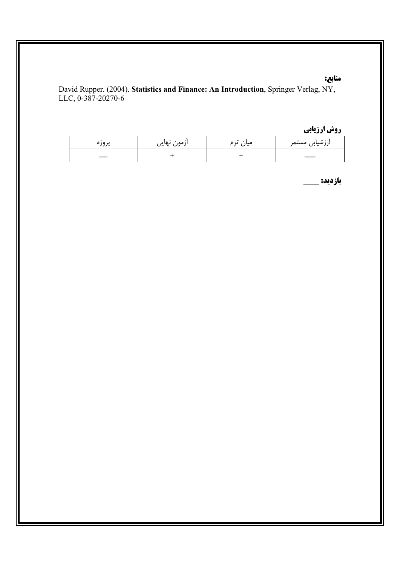### منابع:

David Rupper. (2004). Statistics and Finance: An Introduction, Springer Verlag, NY, LLC, 0-387-20270-6

# روش ارزیابی

| ノノノッ | ازمون نهایی | $^{\bullet}$<br>ں م<br>میان | ارزشیاب <i>ی</i> مستمر |
|------|-------------|-----------------------------|------------------------|
|      |             |                             |                        |

**بازدید: \_**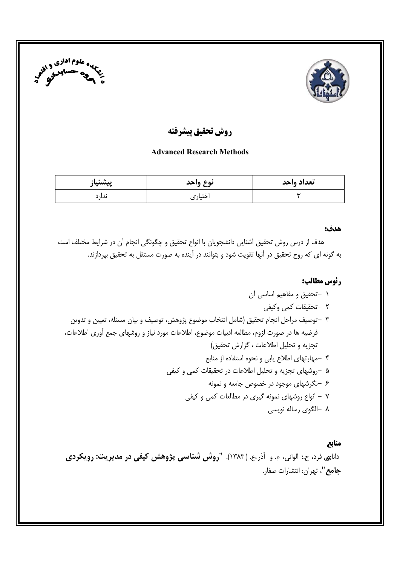



روش تحقيق ييشرفته

#### **Advanced Research Methods**

| پیشنیاز | نوع واحد | تعداد واحد |
|---------|----------|------------|
| ىدار د  | اختيار ی |            |

#### هدف:

هدف از درس روش تحقیق آشنایی دانشجویان با انواع تحقیق و چگونگی انجام آن در شرایط مختلف است به گونه ای که روح تحقیق در آنها تقویت شود و بتوانند در آینده به صورت مستقل به تحقیق بپردازند.

### رئوس مطالب:

۸ –الگوی رساله نویسی

#### منابع

دانا<sub>ک</sub>ی فرد، ح.؛ الوانی، م. و آذر ،ع. (۱۳۸۳). **"روش شناسی پژوهش کیفی در مدیریت: رویکردی** جامع"، تهران: انتشارات صفار.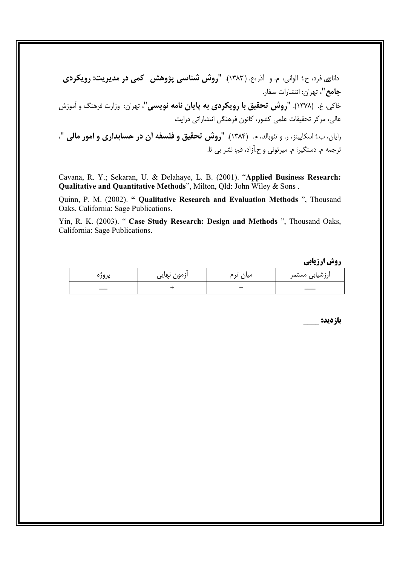دانای فرد، ح.؛ الوانی، م. و آذر،ع. (۱۳۸۳). "**روش شناسی پژوهش کمی در مدیریت: رویکردی جامع"**، تهران: انتشارات صفار. خاکی، غ. (۱۳۷۸). "**روش تحقیق با رویکردی به پایان نامه نویسی"**، تهران: وزارت فرهنگ و آموزش عالی، مرکز تحقیقات علمی کشور، کانون فرهنگی انتشاراتی درایت رايان، ب.؛ اسكاپينز، ر. و تئوبالد، م. (١٣٨۴). "روش تحقيق و فلسفه أن در حسابداري و امور مالي "، ترجمه م. دسنگير؛ م. ميرتوني و ح.اَزاد، قم: نشر بي تا.

Cavana, R. Y.; Sekaran, U. & Delahaye, L. B. (2001). "Applied Business Research: Qualitative and Quantitative Methods", Milton, Qld: John Wiley & Sons.

Quinn, P. M. (2002). " Qualitative Research and Evaluation Methods ", Thousand Oaks, California: Sage Publications.

Yin, R. K. (2003). " Case Study Research: Design and Methods ", Thousand Oaks, California: Sage Publications.

**روش ارزیابی** 

| پرور، | <sup>.</sup> نهایی<br>ازمون | $\bullet\bullet$<br>ں م<br>میاں | ارزشیاب <i>ی</i> مستمر |
|-------|-----------------------------|---------------------------------|------------------------|
|       |                             |                                 |                        |

بازديد: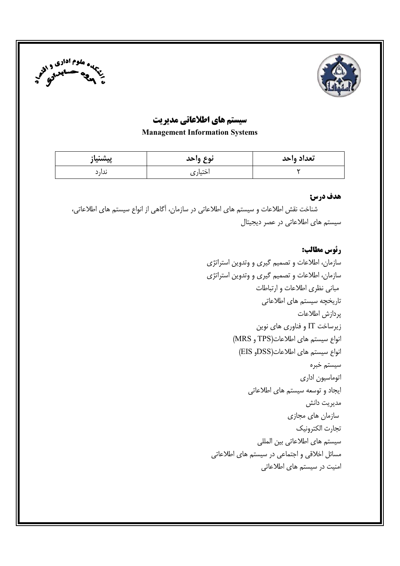



## سیستم های اطلاعاتی مدیریت

**Management Information Systems** 

| پيشنياز | نوع واحد | تعداد واحد |
|---------|----------|------------|
| ىدار د  | اختيار ی |            |

#### هدف درس:

شناخت نقش اطلاعات و سیستم های اطلاعاتی در سازمان، آگاهی از انواع سیستم های اطلاعاتی، سیستم های اطلاعاتی در عصر دیجیتال

> رئوس مطالب: سازمان، اطلاعات و تصمیم گیری و وتدوین استراتژی سازمان، اطلاعات و تصمیم گیری و وتدوین استراتژی مبانی نظری اطلاعات و ارتباطات تاریخچه سیستم های اطلاعاتی يردازش اطلاعات زیرساخت IT و فناوری های نوین انواع سيستم هاى اطلاعات(TPS و MRS) انواع سيستم هاى اطلاعات(DSSو EIS) سيستم خبره اتوماسیون اداری ایجاد و توسعه سیستم های اطلاعاتی مديريت دانش سازمان های مجازی تجارت الكترونيك سیستم های اطلاعاتی بین المللی مسائل اخلاقی و اجتماعی در سیستم های اطلاعاتی امنیت در سیستم های اطلاعاتی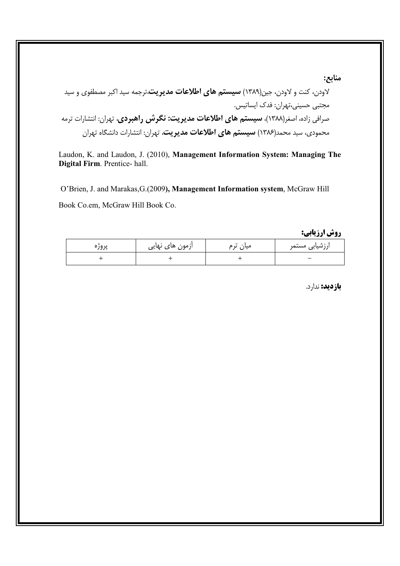Laudon, K. and Laudon, J. (2010), Management Information System: Managing The Digital Firm. Prentice-hall.

O'Brien, J. and Marakas, G. (2009), Management Information system, McGraw Hill Book Co.em, McGraw Hill Book Co.

روش ارزيابي:

منابع:

| پرور | ازمون های نهایی | $^{\tiny{\text{++}}}$<br>میان ترم | رزشیاب <i>ی</i> مستمر |
|------|-----------------|-----------------------------------|-----------------------|
|      |                 |                                   | -                     |

**بازدید:** ندارد.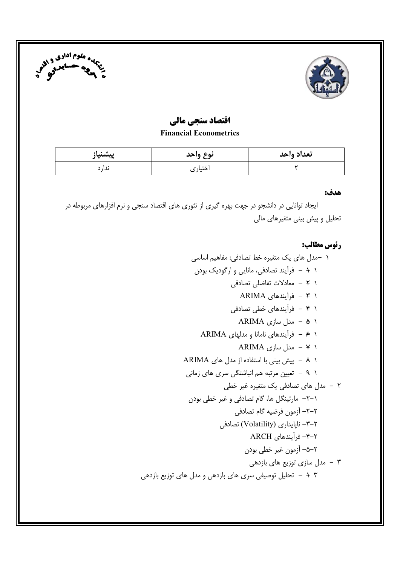



## اقتصاد سنجي مالي

#### **Financial Econometrics**

| پيشنياز | نوع واحد | تعداد واحد |
|---------|----------|------------|
| ىدار د  | اختیار ی |            |

#### هدف:

ایجاد توانایی در دانشجو در جهت بهره گیری از تئوری های اقتصاد سنجی و نرم افزارهای مربوطه در تحلیل و پیش بینی متغیرهای مالی

# رئوس مطالب: ١ -مدل هاى يك متغيره خط تصادفى: مفاهيم اساسى ١ + – فرأيند تصادفي، مانايي و ارگوديک بودن ١ ٢ - معادلات تفاضلي تصادفي ۱ ۴ - فرأيندهاى ARIMA ۱ ۴ - فرآیندهای خطی تصادفی ۱ ۵ - مدل سازی ARIMA ۱ ۶ - فرآیندهای نامانا و مدلهای ARIMA ARIMA مدل سازی ARIMA 1 A - ييش بيني با استفاده از مدل هاي ARIMA ۱ ۹ - تعیین مرتبه هم انباشتگی سری های زمانی ۲ – مدل های تصادفی یک متغیره غیر خطی ۱–۲– مارتینگل ها، گام تصادفی و غیر خطی بودن ٢–٢– آزمون فرضيه گام تصادفي ۲–۳– نایایداری (Volatility) تصادفی ۲–۴– فرآیندهای ARCH ٢–٥– آزمون غير خطي بودن ۰ تا مدل سازی توزیع های بازدهی  $\mathfrak{r}$ + + - تحلیل توصیفی سری های بازدهی و مدل های توزیع بازدهی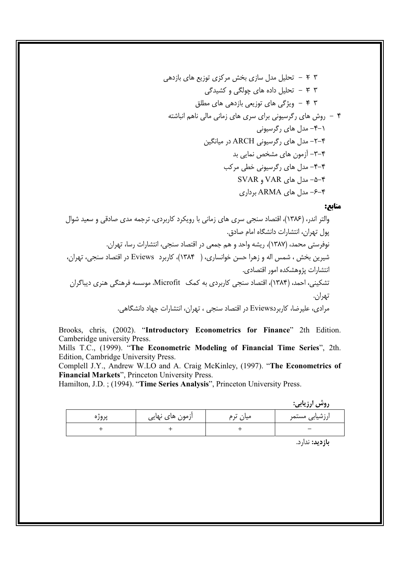#### منابع:

Brooks, chris, (2002). "Introductory Econometrics for Finance" 2th Edition. Camberidge university Press.

Mills T.C., (1999). "The Econometric Modeling of Financial Time Series", 2th. Edition, Cambridge University Press.

Complell J.Y., Andrew W.LO and A. Craig McKinley, (1997). "The Econometrics of Financial Markets", Princeton University Press.

Hamilton, J.D.; (1994). "Time Series Analysis", Princeton University Press.

. وشي ارزيابي:

|       |                 |          | $\bullet$ $\bullet$ |
|-------|-----------------|----------|---------------------|
| پروره | ازمون های نهایی | میان ترم | ارزشیابی مستمر      |
|       |                 |          | -                   |

بازديد: ندارد.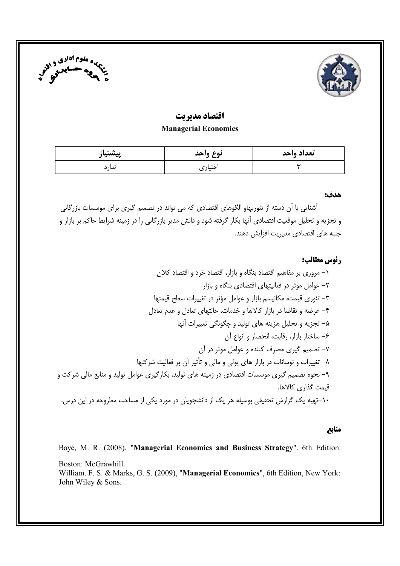



### اقتصاد مدير تت **Managerial Economics**

| پيشنياز | نوع واحد | تعداد واحد |
|---------|----------|------------|
| ىدار د  | اختيار ی |            |

#### هدف:

آشنایی با آن دسته از تئوریهاو الگوهای اقتصادی که می تواند در تصمیم گیری برای موسسات بازرگانی و تجزیه و تحلیل موقعیت اقتصادی آنها بکار گرفته شود و دانش مدیر بازرگانی را در زمینه شرایط حاکم بر بازار و حنيه هاي اقتصادي مديريت افزايش دهند.

#### رئوس مطالب:

۱- مروری بر مفاهیم اقتصاد بنگاه و بازار، اقتصاد خرد و اقتصاد کلان ۲– عوامل موثر در فعالیتهای اقتصادی بنگاه و بازار ٣- تئوري قيمت، مكانيسم بازار و عوامل مؤثر در تغييرات سطح قيمتها ۴- عرضه و تقاضا در بازار کالاها و خدمات، حالتهای تعادل و عدم تعادل ۵– تجزیه و تحلیل هزینه های تولید و چگونگی تغییرات آنها ۶- ساختار بازار، رقابت، انحصار و انواع آن ٧– تصميم گيري مصرف كننده و عوامل موثر در آن ۸– تغییرات و نوسانات در بازار های پولی و مالی و تأثیر آن بر فعالیت شرکتها ۹– نحوه تصمیم گیری موسسات اقتصادی در زمینه های تولید، بکارگیری عوامل تولید و منابع مالی شرکت و قيمت گذاري كالاها. ۱۰–تهیه یک گزارش تحقیقی بوسیله هر یک از دانشجویان در مورد یکی از مساحت مطروحه در این درس.

#### منابع

Baye, M. R. (2008). "Managerial Economics and Business Strategy". 6th Edition.

Boston: McGrawhill. William. F. S. & Marks, G. S. (2009), "Managerial Economics", 6th Edition, New York: John Wiley & Sons.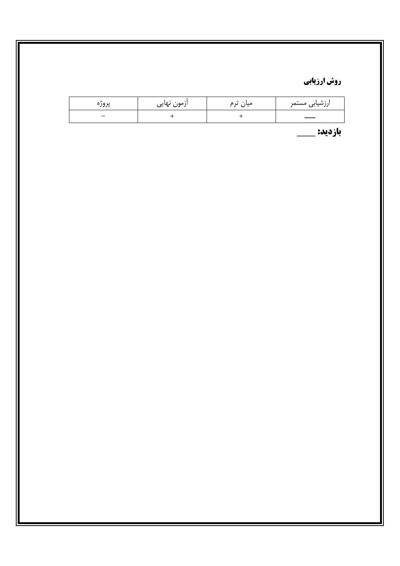# روش ارزیابی

| پروره                    | ازمون نهایی | $\bullet\bullet$<br>میان<br>ں م | ارزشیابی مستمر |
|--------------------------|-------------|---------------------------------|----------------|
| $\overline{\phantom{0}}$ |             |                                 | ___            |

بازديد: \_\_\_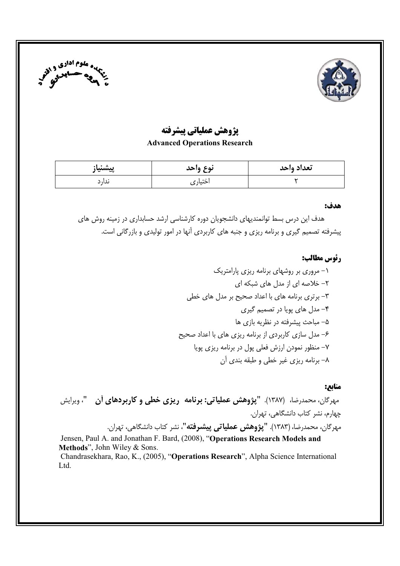



### يژوهش عملياتي پيشرفته

#### **Advanced Operations Research**

| پيشنياز | نوع واحد | <br>تعداد وأحد |
|---------|----------|----------------|
| ىدار د  | اختيار ي |                |

#### هدف:

هدف این درس بسط توانمندیهای دانشجویان دوره کارشناسی ارشد حسابداری در زمینه روش های پیشرفته تصمیم گیری و برنامه ریزی و جنبه های کاربردی آنها در امور تولیدی و بازرگانی است.

#### رئوس مطالب:

#### مناىع:

مهرگان، محمدرضا، (۱۳۸۷). **"پژوهش عملیاتی: برنامه ریزی خطی و کاربردهای آن "**، ویرایش چهارم، نشر کتاب دانشگاهی، تهران. مهرگان، محمدرضا، (۱۳۸۳). **"پژوهش عملیاتی پیشرفته"**، نشر کتاب دانشگاهی، تهران.

Jensen, Paul A. and Jonathan F. Bard, (2008), "Operations Research Models and Methods", John Wiley & Sons. Chandrasekhara, Rao, K., (2005), "Operations Research", Alpha Science International Ltd.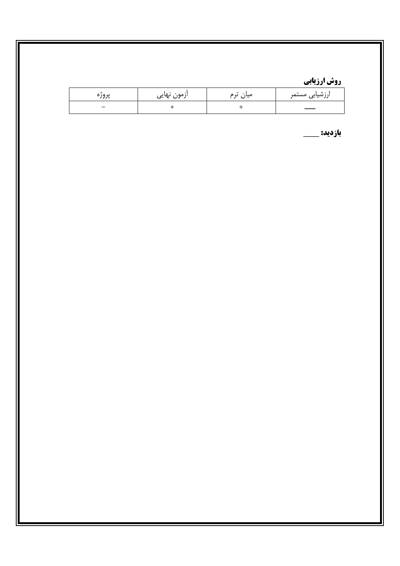# <u>روش ارزیابی</u>

| پرور‹ | ازمون نهایی | $\bullet\bullet$<br>میان<br>ں ع | ارزشیابی مستمر |
|-------|-------------|---------------------------------|----------------|
| _     |             |                                 |                |

بازديد: \_\_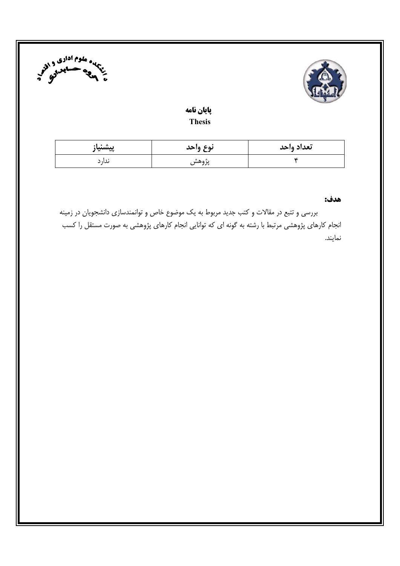



### پایان نامه **Thesis**

| پيشنياز | نوع واحد          | تعداد واحد |
|---------|-------------------|------------|
| ىدار د  | ≞ ∗<br>ەسس<br>ノノマ |            |

#### هدف:

بررسی و تتبع در مقالات و کتب جدید مربوط به یک موضوع خاص و توانمندسازی دانشجویان در زمینه انجام کارهای پژوهشی مرتبط با رشته به گونه ای که توانایی انجام کارهای پژوهشی به صورت مستقل را کسب نمايند.